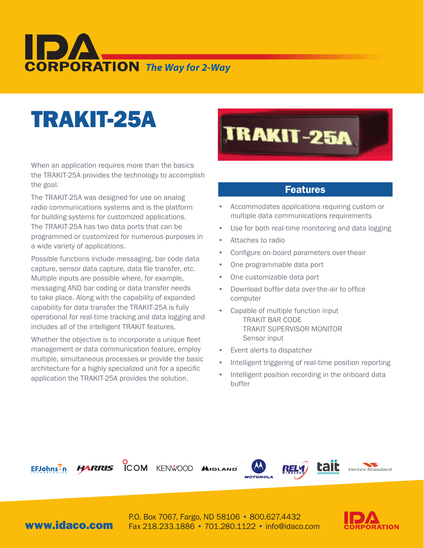# **CORPORATION** The Way for 2-Way

## TRAKIT-25A

When an application requires more than the basics the TRAKIT-25A provides the technology to accomplish the goal.

The TRAKIT-25A was designed for use on analog radio communications systems and is the platform for building systems for customized applications. The TRAKIT-25A has two data ports that can be programmed or customized for numerous purposes in a wide variety of applications.

Possible functions include messaging, bar code data capture, sensor data capture, data file transfer, etc. Multiple inputs are possible where, for example, messaging AND bar coding or data transfer needs to take place. Along with the capability of expanded capability for data transfer the TRAKIT-25A is fully operational for real-time tracking and data logging and includes all of the intelligent TRAKIT features.

Whether the objective is to incorporate a unique fleet management or data communication feature, employ multiple, simultaneous processes or provide the basic architecture for a highly specialized unit for a specific application the TRAKIT-25A provides the solution.



#### Features

- Accommodates applications requiring custom or multiple data communications requirements
- Use for both real-time monitoring and data logging
- Attaches to radio
- Configure on-board parameters over-theair
- One programmable data port
- One customizable data port
- Download buffer data over-the-air to office computer
- Capable of multiple function input TRAKIT BAR CODE TRAKIT SUPERVISOR MONITOR Sensor input
- Event alerts to dispatcher
- Intelligent triggering of real-time position reporting
- Intelligent position recording in the onboard data buffer



**ICOM** KENWOOD AID







www.idaco.com

P.O. Box 7067, Fargo, ND 58106 • 800.627.4432 Fax 218.233.1886 • 701.280.1122 • info@idaco.com